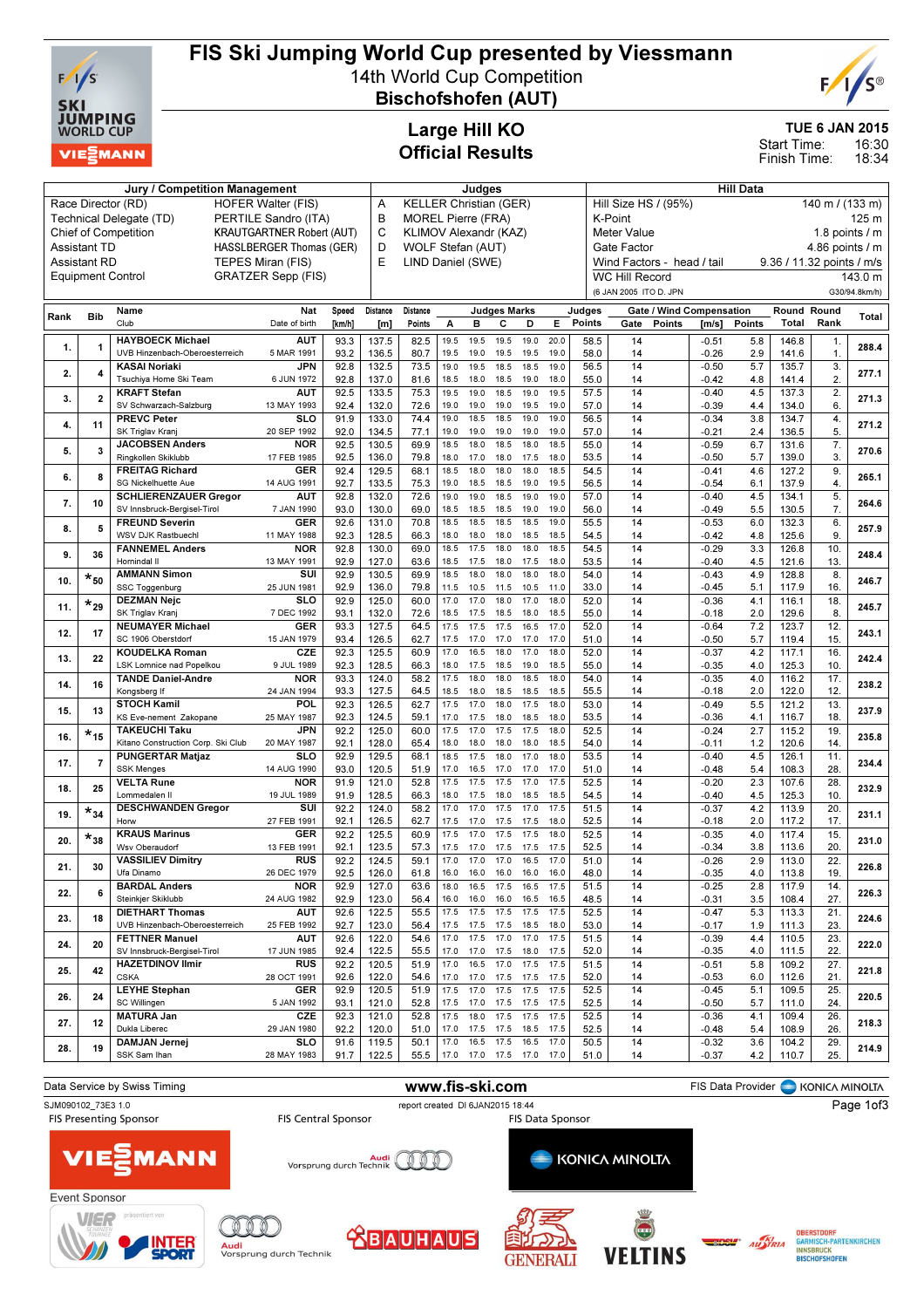

# FIS Ski Jumping World Cup presented by Viessmann

14th World Cup Competition Bischofshofen (AUT)



TUE 6 JAN 2015

16:30 18:34 Start Time: Finish Time:

## Large Hill KO Official Results

| Jury / Competition Management                                   |                         |                                            |                           |              |                | Judges                        |              |              |                          |              |                  | <b>Hill Data</b>                                        |                                         |                    |               |                |             |               |
|-----------------------------------------------------------------|-------------------------|--------------------------------------------|---------------------------|--------------|----------------|-------------------------------|--------------|--------------|--------------------------|--------------|------------------|---------------------------------------------------------|-----------------------------------------|--------------------|---------------|----------------|-------------|---------------|
| Race Director (RD)<br><b>HOFER Walter (FIS)</b>                 |                         |                                            |                           |              |                | <b>KELLER Christian (GER)</b> |              |              |                          |              |                  |                                                         | Hill Size HS / (95%)<br>140 m / (133 m) |                    |               |                |             |               |
| Technical Delegate (TD)<br>PERTILE Sandro (ITA)                 |                         |                                            |                           |              | B              | <b>MOREL Pierre (FRA)</b>     |              |              |                          |              | K-Point<br>125 m |                                                         |                                         |                    |               |                |             |               |
| <b>Chief of Competition</b><br><b>KRAUTGARTNER Robert (AUT)</b> |                         |                                            |                           |              | C              | KLIMOV Alexandr (KAZ)         |              |              |                          |              |                  | 1.8 points / m<br>Meter Value                           |                                         |                    |               |                |             |               |
| HASSLBERGER Thomas (GER)<br>Assistant TD                        |                         |                                            |                           |              |                | D<br>WOLF Stefan (AUT)        |              |              |                          |              |                  | 4.86 points / m<br>Gate Factor                          |                                         |                    |               |                |             |               |
| TEPES Miran (FIS)<br><b>Assistant RD</b>                        |                         |                                            |                           |              |                | E<br>LIND Daniel (SWE)        |              |              |                          |              |                  | Wind Factors - head / tail<br>9.36 / 11.32 points / m/s |                                         |                    |               |                |             |               |
| <b>GRATZER Sepp (FIS)</b><br><b>Equipment Control</b>           |                         |                                            |                           |              |                |                               |              |              |                          |              |                  | <b>WC Hill Record</b>                                   |                                         |                    |               |                | 143.0 m     |               |
|                                                                 |                         |                                            |                           |              |                |                               |              |              |                          |              |                  |                                                         |                                         |                    |               |                |             |               |
|                                                                 |                         |                                            |                           |              |                |                               |              |              |                          |              |                  |                                                         | (6 JAN 2005 ITO D. JPN                  |                    |               |                |             | G30/94.8km/h) |
| Rank                                                            | <b>Bib</b>              | Name                                       | Nat                       | Speed        | Distance       | Distance                      |              |              | <b>Judges Marks</b>      |              |                  | Judges                                                  | <b>Gate / Wind Compensation</b>         |                    |               |                | Round Round | Total         |
|                                                                 |                         | Club                                       | Date of birth             | [km/h]       | [m]            | Points                        | А            | в            | С                        | D            | Е                | Points                                                  | Gate<br>Points                          | [m/s]              | <b>Points</b> | Total          | Rank        |               |
|                                                                 |                         | <b>HAYBOECK Michael</b>                    | AUT                       | 93.3         | 137.5          | 82.5                          | 19.5         | 19.5         | 19.5                     | 19.0         | 20.0             | 58.5                                                    | 14                                      | $-0.51$            | 5.8           | 146.8          | 1.          |               |
| 1.                                                              | 1                       | UVB Hinzenbach-Oberoesterreich             | 5 MAR 1991                | 93.2         | 136.5          | 80.7                          | 19.5         | 19.0         | 19.5                     | 19.5         | 19.0             | 58.0                                                    | 14                                      | $-0.26$            | 2.9           | 141.6          | 1.          | 288.4         |
|                                                                 |                         | <b>KASAI Noriaki</b>                       | JPN                       | 92.8         | 132.5          | 73.5                          | 19.0         | 19.5         | 18.5                     | 18.5         | 19.0             | 56.5                                                    | 14                                      | $-0.50$            | 5.7           | 135.7          | 3.          |               |
| 2.                                                              | 4                       | Tsuchiya Home Ski Team                     | 6 JUN 1972                | 92.8         | 137.0          | 81.6                          | 18.5         | 18.0         | 18.5                     | 19.0         | 18.0             | 55.0                                                    | 14                                      | $-0.42$            | 4.8           | 141.4          | 2.          | 277.1         |
|                                                                 |                         | <b>KRAFT Stefan</b>                        | <b>AUT</b>                | 92.5         | 133.5          | 75.3                          | 19.5         | 19.0         | 18.5                     | 19.0         | 19.5             | 57.5                                                    | 14                                      | $-0.40$            | 4.5           | 137.3          | 2.          |               |
| 3.                                                              | $\overline{2}$          | SV Schwarzach-Salzburg                     | 13 MAY 1993               | 92.4         | 132.0          | 72.6                          | 19.0         | 19.0         | 19.0                     | 19.5         | 19.0             | 57.0                                                    | 14                                      | $-0.39$            | 4.4           | 134.0          | 6.          | 271.3         |
|                                                                 |                         | <b>PREVC Peter</b>                         | <b>SLO</b>                | 91.9         | 133.0          | 74.4                          | 19.0         | 18.5         | 18.5                     | 19.0         | 19.0             | 56.5                                                    | 14                                      | $-0.34$            | 3.8           | 134.7          | 4.          |               |
| 4.                                                              | 11                      | SK Triglav Kranj                           | 20 SEP 1992               | 92.0         | 134.5          | 77.1                          | 19.0         | 19.0         | 19.0                     | 19.0         | 19.0             | 57.0                                                    | 14                                      | $-0.21$            | 2.4           | 136.5          | 5           | 271.2         |
|                                                                 |                         | <b>JACOBSEN Anders</b>                     | <b>NOR</b>                | 92.5         | 130.5          | 69.9                          | 18.5         | 18.0         | 18.5                     | 18.0         | 18.5             | 55.0                                                    | 14                                      | $-0.59$            | 6.7           | 131.6          | 7.          |               |
| 5.                                                              | 3                       | Ringkollen Skiklubb                        | 17 FEB 1985               | 92.5         | 136.0          | 79.8                          | 18.0         | 17.0         | 18.0                     | 17.5         | 18.0             | 53.5                                                    | 14                                      | $-0.50$            | 5.7           | 139.0          | 3.          | 270.6         |
|                                                                 | 8                       | <b>FREITAG Richard</b>                     | GER                       | 92.4         | 129.5          | 68.1                          | 18.5         | 18.0         | 18.0                     | 18.0         | 18.5             | 54.5                                                    | 14                                      | $-0.41$            | 4.6           | 127.2          | 9.          |               |
| 6.                                                              |                         | SG Nickelhuette Aue                        | 14 AUG 1991               | 92.7         | 133.5          | 75.3                          | 19.0         | 18.5         | 18.5                     | 19.0         | 19.5             | 56.5                                                    | 14                                      | $-0.54$            | 6.1           | 137.9          | 4.          | 265.1         |
| 7.                                                              | 10                      | <b>SCHLIERENZAUER Gregor</b>               | <b>AUT</b>                | 92.8         | 132.0          | 72.6                          | 19.0         | 19.0         | 18.5                     | 19.0         | 19.0             | 57.0                                                    | 14                                      | $-0.40$            | 4.5           | 134.1          | 5.          | 264.6         |
|                                                                 |                         | SV Innsbruck-Bergisel-Tirol                | 7 JAN 1990                | 93.0         | 130.0          | 69.0                          | 18.5         | 18.5         | 18.5                     | 19.0         | 19.0             | 56.0                                                    | 14                                      | $-0.49$            | 5.5           | 130.5          | 7.          |               |
| 8.                                                              | 5                       | <b>FREUND Severin</b>                      | <b>GER</b>                | 92.6         | 131.0          | 70.8                          | 18.5         | 18.5         | 18.5                     | 18.5         | 19.0             | 55.5                                                    | 14                                      | $-0.53$            | 6.0           | 132.3          | 6.          | 257.9         |
|                                                                 |                         | WSV DJK Rastbuechl                         | 11 MAY 1988               | 92.3         | 128.5          | 66.3                          | 18.0         | 18.0         | 18.0                     | 18.5         | 18.5             | 54.5                                                    | 14                                      | $-0.42$            | 4.8           | 125.6          | 9           |               |
| 9.                                                              | 36                      | <b>FANNEMEL Anders</b>                     | <b>NOR</b>                | 92.8         | 130.0          | 69.0                          | 18.5         | 17.5         | 18.0                     | 18.0         | 18.5             | 54.5                                                    | 14                                      | $-0.29$            | 3.3           | 126.8          | 10.         | 248.4         |
|                                                                 |                         | Hornindal II                               | 13 MAY 1991               | 92.9         | 127.0          | 63.6                          | 18.5         | 17.5         | 18.0                     | 17.5         | 18.0             | 53.5                                                    | 14                                      | $-0.40$            | 4.5           | 121.6          | 13          |               |
| 10.                                                             | $*_{50}$                | <b>AMMANN Simon</b>                        | SUI                       | 92.9         | 130.5          | 69.9                          | 18.5         | 18.0         | 18.0                     | 18.0         | 18.0             | 54.0                                                    | 14                                      | $-0.43$            | 4.9           | 128.8          | 8.          | 246.7         |
|                                                                 |                         | SSC Toggenburg                             | 25 JUN 1981               | 92.9         | 136.0          | 79.8                          | 11.5         | 10.5         | 11.5                     | 10.5         | 11.0             | 33.0                                                    | 14                                      | $-0.45$            | 5.1           | 117.9          | 16          |               |
| 11.                                                             | $\star_{29}$            | <b>DEZMAN Nejc</b>                         | <b>SLO</b>                | 92.9         | 125.0          | 60.0                          | 17.0         | 17.0         | 18.0                     | 17.0         | 18.0             | 52.0                                                    | 14                                      | $-0.36$            | 4.1           | 116.1          | 18.         | 245.7         |
|                                                                 |                         | SK Triglav Kranj                           | 7 DEC 1992                | 93.1         | 132.0          | 72.6                          | 18.5         | 17.5         | 18.5                     | 18.0         | 18.5             | 55.0                                                    | 14                                      | $-0.18$            | 2.0           | 129.6          | 8.          |               |
| 12.                                                             | 17                      | <b>NEUMAYER Michael</b>                    | <b>GER</b>                | 93.3         | 127.5          | 64.5                          | 17.5         | 17.5         | 17.5                     | 16.5         | 17.0             | 52.0                                                    | 14                                      | $-0.64$            | 7.2           | 123.7          | 12.         | 243.1         |
|                                                                 |                         | SC 1906 Oberstdorf                         | 15 JAN 1979               | 93.4         | 126.5          | 62.7                          | 17.5         | 17.0         | 17.0                     | 17.0         | 17.0             | 51.0                                                    | 14                                      | $-0.50$            | 5.7           | 119.4          | 15          |               |
| 13.                                                             | 22                      | <b>KOUDELKA Roman</b>                      | CZE                       | 92.3         | 125.5          | 60.9                          | 17.0         | 16.5         | 18.0                     | 17.0         | 18.0             | 52.0                                                    | 14                                      | $-0.37$            | 4.2           | 117.1          | 16          | 242.4         |
|                                                                 |                         | LSK Lomnice nad Popelkou                   | 9 JUL 1989                | 92.3         | 128.5          | 66.3                          | 18.0         | 17.5         | 18.5                     | 19.0         | 18.5             | 55.0                                                    | 14                                      | $-0.35$            | 4.0           | 125.3          | 10          |               |
| 14.                                                             | 16                      | <b>TANDE Daniel-Andre</b>                  | <b>NOR</b>                | 93.3         | 124.0          | 58.2                          | 17.5         | 18.0         | 18.0                     | 18.5         | 18.0             | 54.0                                                    | 14                                      | $-0.35$            | 4.0           | 116.2          | 17.         | 238.2         |
|                                                                 |                         | Kongsberg If                               | 24 JAN 1994               | 93.3         | 127.5          | 64.5                          | 18.5         | 18.0         | 18.5                     | 18.5         | 18.5             | 55.5                                                    | 14                                      | $-0.18$            | 2.0           | 122.0          | 12.         |               |
| 15.                                                             | 13                      | <b>STOCH Kamil</b>                         | POL                       | 92.3         | 126.5          | 62.7                          | 17.5         | 17.0         | 18.0                     | 17.5         | 18.0             | 53.0                                                    | 14                                      | $-0.49$            | 5.5           | 121.2          | 13.         | 237.9         |
|                                                                 |                         | KS Eve-nement Zakopane                     | 25 MAY 1987               | 92.3         | 124.5          | 59.1                          | 17.0         | 17.5         | 18.0                     | 18.5         | 18.0             | 53.5                                                    | 14                                      | $-0.36$            | 4.1           | 116.7          | 18          |               |
| 16.                                                             | $\star_{\mathbf{15}}$   | <b>TAKEUCHI Taku</b>                       | JPN                       | 92.2         | 125.0          | 60.0                          | 17.5         | 17.0         | 17.5                     | 17.5         | 18.0             | 52.5                                                    | 14                                      | $-0.24$            | 2.7           | 115.2          | 19          | 235.8         |
|                                                                 |                         | Kitano Construction Corp. Ski Club         | 20 MAY 1987               | 92.1         | 128.0          | 65.4                          | 18.0         | 18.0         | 18.0                     | 18.0         | 18.5             | 54.0                                                    | 14                                      | $-0.11$            | 1.2           | 120.6          | 14.         |               |
| 17.                                                             | $\overline{\mathbf{r}}$ | <b>PUNGERTAR Matjaz</b>                    | <b>SLO</b>                | 92.9         | 129.5          | 68.1                          | 18.5         | 17.5         | 18.0                     | 17.0         | 18.0             | 53.5                                                    | 14                                      | $-0.40$            | 4.5           | 126.1          | 11.         | 234.4         |
|                                                                 |                         | <b>SSK Menges</b>                          | 14 AUG 1990               | 93.0         | 120.5          | 51.9                          | 17.0         | 16.5         | 17.0                     | 17.0         | 17.0             | 51.0                                                    | 14                                      | $-0.48$            | 5.4           | 108.3          | 28          |               |
| 18.                                                             | 25                      | <b>VELTA Rune</b>                          | <b>NOR</b>                | 91.9         | 121.0          | 52.8                          | 17.5         | 17.5         | 17.5                     | 17.0         | 17.5             | 52.5                                                    | 14                                      | $-0.20$            | 2.3           | 107.6          | 28          | 232.9         |
|                                                                 |                         | Lommedalen II                              | 19 JUL 1989               | 91.9         | 128.5          | 66.3                          | 18.0         | 17.5         | 18.0                     | 18.5         | 18.5             | 54.5                                                    | 14                                      | $-0.40$            | 4.5           | 125.3          | 10          |               |
| 19.                                                             | $\star_{34}$            | <b>DESCHWANDEN Gregor</b><br>Horw          | SUI<br>27 FEB 1991        | 92.2         | 124.0          | 58.2                          | 17.0<br>17.5 | 17.0<br>17.0 | 17.5                     | 17.0<br>17.5 | 17.5<br>18.0     | 51.5                                                    | 14                                      | $-0.37$            | 4.2           | 113.9          | 20<br>17.   | 231.1         |
|                                                                 |                         |                                            |                           | 92.1         | 126.5          | 62.7                          |              |              | 17.5                     |              |                  | 52.5                                                    | 14                                      | $-0.18$            | 2.0           | 117.2          |             |               |
| 20.                                                             | $\star_{38}$            | <b>KRAUS Marinus</b>                       | <b>GER</b>                | 92.2         | 125.5          | 60.9                          | 17.5         | 17.0         | 17.5                     | 17.5         | 18.0             | 52.5                                                    | 14                                      | $-0.35$            | 4.0           | 117.4          | 15.         | 231.0         |
|                                                                 |                         | Wsv Oberaudorf<br><b>VASSILIEV Dimitry</b> | 13 FEB 1991               | 92.1         | 123.5          | 57.3<br>59.1                  | 17.5         | 17.0<br>17.0 | 17.5<br>17.0             | 17.5<br>16.5 | 17.5<br>17.0     | 52.5                                                    | 14<br>14                                | $-0.34$<br>$-0.26$ | 3.8<br>2.9    | 113.6          | 20          |               |
| 21.                                                             | 30                      |                                            | <b>RUS</b><br>26 DEC 1979 | 92.2         | 124.5          |                               | 17.0         |              |                          |              |                  | 51.0                                                    |                                         |                    |               | 113.0          | 22<br>19.   | 226.8         |
|                                                                 |                         | Ufa Dinamo                                 |                           | 92.5         | 126.0          | 61.8                          | 16.0         | 16.0         | 16.0                     | 16.0         | 16.0             | 48.0                                                    | 14                                      | $-0.35$            | 4.0           | 113.8          |             |               |
| 22.                                                             | 6                       | <b>BARDAL Anders</b><br>Steinkjer Skiklubb | NOR<br>24 AUG 1982        | 92.9<br>92.9 | 127.0<br>123.0 | 63.6<br>56.4                  | 18.0<br>16.0 | 16.5<br>16.0 | 17.5<br>16.0             | 16.5<br>16.5 | 17.5<br>16.5     | 51.5<br>48.5                                            | 14<br>14                                | $-0.25$<br>$-0.31$ | 2.8<br>3.5    | 117.9<br>108.4 | 14.<br>27.  | 226.3         |
|                                                                 |                         | <b>DIETHART Thomas</b>                     | <b>AUT</b>                | 92.6         | 122.5          | 55.5                          | 17.5         | 17.5 17.5    |                          | 17.5         | 17.5             | 52.5                                                    | 14                                      | $-0.47$            | 5.3           | 113.3          | 21.         |               |
| 23.                                                             | 18                      | UVB Hinzenbach-Oberoesterreich             | 25 FEB 1992               | 92.7         | 123.0          | 56.4                          | 17.5         | 17.5 17.5    |                          | 18.5         | 18.0             | 53.0                                                    | 14                                      | $-0.17$            | 1.9           | 111.3          | 23.         | 224.6         |
|                                                                 |                         | <b>FETTNER Manuel</b>                      | <b>AUT</b>                | 92.6         | 122.0          | 54.6                          | 17.0         | 17.5         | 17.0                     | 17.0         | 17.5             | 51.5                                                    | 14                                      | $-0.39$            | 4.4           | 110.5          | 23.         |               |
| 24.                                                             | 20                      | SV Innsbruck-Bergisel-Tirol                | 17 JUN 1985               | 92.4         | 122.5          | 55.5                          | 17.0         | 17.0 17.5    |                          | 18.0         | 17.5             | 52.0                                                    | 14                                      | $-0.35$            | 4.0           | 111.5          | 22.         | 222.0         |
|                                                                 |                         | <b>HAZETDINOV Ilmir</b>                    | <b>RUS</b>                | 92.2         | 120.5          | 51.9                          | 17.0         | 16.5         | 17.0                     | 17.5         | 17.5             | 51.5                                                    | 14                                      | $-0.51$            | 5.8           | 109.2          | 27.         |               |
| 25.                                                             | 42                      | <b>CSKA</b>                                | 28 OCT 1991               | 92.6         | 122.0          | 54.6                          | 17.0         | 17.0 17.5    |                          | 17.5         | 17.5             | 52.0                                                    | 14                                      | $-0.53$            | 6.0           | 112.6          | 21.         | 221.8         |
|                                                                 |                         | <b>LEYHE Stephan</b>                       | <b>GER</b>                | 92.9         | 120.5          | 51.9                          | 17.5         | 17.0         | 17.5                     | 17.5         | 17.5             | 52.5                                                    | 14                                      | $-0.45$            | 5.1           | 109.5          | 25.         |               |
| 26.                                                             | 24                      | SC Willingen                               | 5 JAN 1992                | 93.1         | 121.0          | 52.8                          | 17.5         | 17.0         | 17.5                     | 17.5         | 17.5             | 52.5                                                    | 14                                      | $-0.50$            | 5.7           | 111.0          | 24.         | 220.5         |
|                                                                 |                         | <b>MATURA Jan</b>                          | CZE                       | 92.3         | 121.0          | 52.8                          | 17.5         | 18.0         | 17.5                     | 17.5         | 17.5             | 52.5                                                    | 14                                      | $-0.36$            | 4.1           | 109.4          | 26.         |               |
| 27.                                                             | 12                      | Dukla Liberec                              | 29 JAN 1980               | 92.2         | 120.0          | 51.0                          | 17.0         |              | 17.5 17.5 18.5           |              | 17.5             | 52.5                                                    | 14                                      | $-0.48$            | 5.4           | 108.9          | 26.         | 218.3         |
|                                                                 |                         | DAMJAN Jernej                              | SLO                       | 91.6         | 119.5          | 50.1                          | 17.0         |              | 16.5 17.5 16.5 17.0      |              |                  | 50.5                                                    | 14                                      | $-0.32$            | 3.6           | 104.2          | 29.         |               |
| 28.                                                             | 19                      | SSK Sam Ihan                               | 28 MAY 1983               | 91.7         | 122.5          | 55.5                          |              |              | 17.0 17.0 17.5 17.0 17.0 |              |                  | 51.0                                                    | 14                                      | $-0.37$            | 4.2           | 110.7          | 25.         | 214.9         |

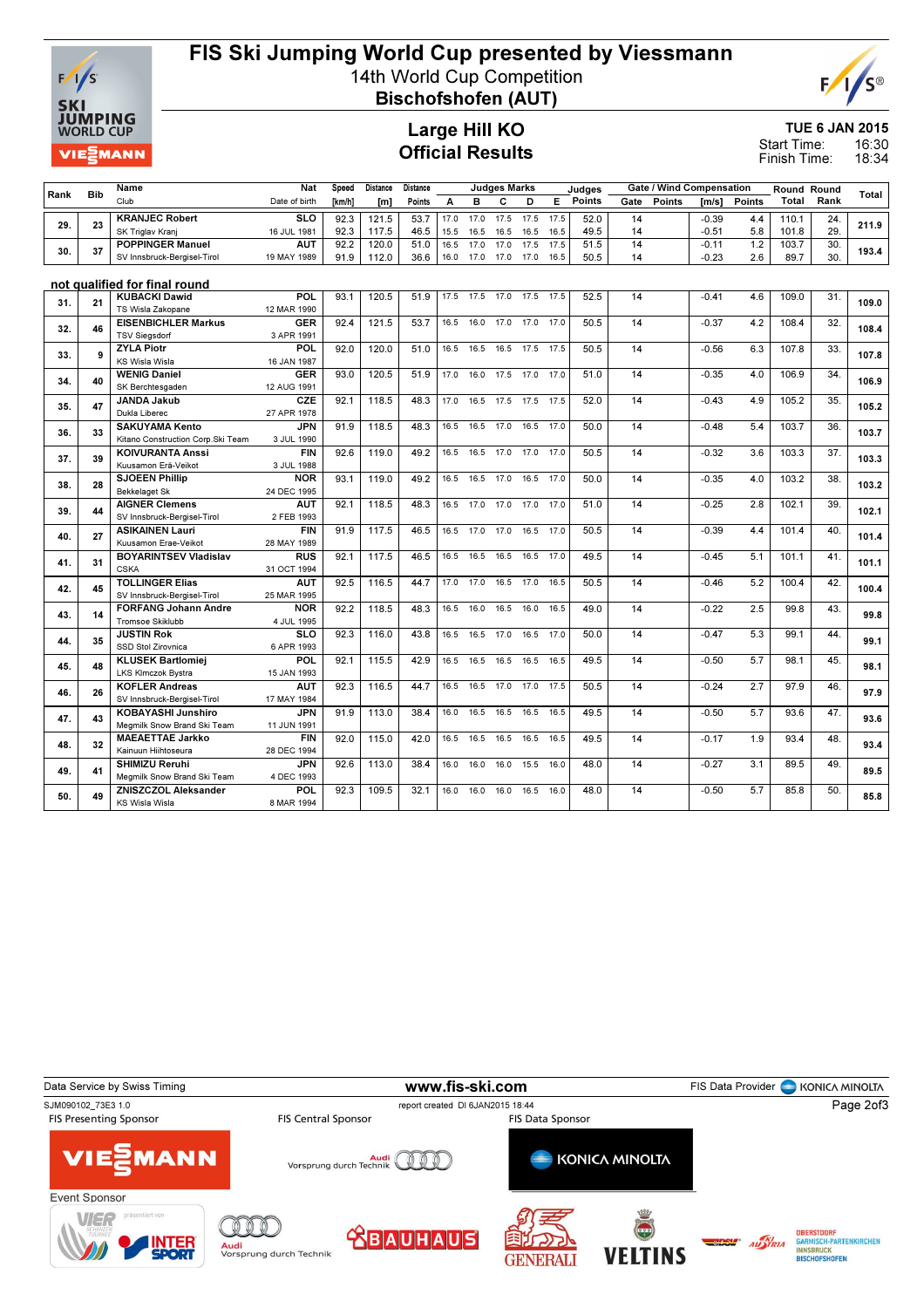

# FIS Ski Jumping World Cup presented by Viessmann

14th World Cup Competition Bischofshofen (AUT)



Large Hill KO Official Results

TUE 6 JAN 2015

16:30 18:34 Start Time: Finish Time:

### Rank Bib Name Club Nat Date of birth Speed [km/h] Distance [m] **Distance** Points Judges Marks A B C D E Judges Points Gate / Wind Compensation Gate Points [m/s] Points Round Round Total <sup>tound</sup> Total<br>Rank <sup>Total</sup> 29. 23 211.9 KRANJEC Robert SK Triglav Kranj<br>**POPPINGER Manuel** SLO 16 JUL 1981 92.3 121.5 53.7 17.0 17.0 17.5 17.5 17.5 52.0 14 -0.39 4.4 110.1 24. 92.3 117.5 46.5 15.5 16.5 16.5 16.5 16.5 49.5 14 -0.51 5.8 101.8 29. 30. 37 193.4 POPPINGER Manuel SV Innsbruck-Bergisel-Tirol **AUT** 19 MAY 1989 92.2 | 120.0 | 51.0 | 16.5 17.0 17.0 17.5 17.5 | 51.5 | 14 | -0.11 1.2 | 103.7 | 30. 91.9 | 112.0 | 36.6 | 16.0 17.0 17.0 17.0 16.5 | 50.5 | 14 | -0.23 2.6 | 89.7 | 30. not qualified for final round 31. 21 KUBACKI Dawid (\* 109.0 KUBACKI DA 190.1 | 120.5 | 51.9 | 17.5 17.5 17.5 17.5 | 52.5 | 14 | 104.1 | 4.6 | 109.0 | 31. | 109.0 | 109.0 | 109.0 | 109.0 | 109.0 | 109.0 | 109.0 | 109.0 | 109.0 | 109.0 | 109.0 | 109.0 | TS Wisla Zakopane POL 12 MAR 1990  $93.1$  | 120.5 | 51.9 | 17.5 17.5 17.0 17.5 17.5 | 52.5 | 14 | -0.41 4.6 | 109.0 | 31. 32. 46 FISENBICHLER Markus (1984 | 1984 | 1984 | 1984 | 1984 | 1984 | 1984 | 1984 | 1984 | 1984 | 1984 | 1984<br>2009 - Prince Later of American Company of the Campion of the Campion of the Campion of the Campion of the Cam TSV Siegsdorf GER 3 APR 1991 92.4 | 121.5 | 53.7 | 16.5 16.0 17.0 17.0 | 17.0 | 50.5 | 14 | -0.37 4.2 | 108.4 | 32. 33. 9 107.8 ZYLA Piotr KS Wisla Wisla POL 16 JAN 1987  $92.0$  | 120.0 | 51.0 | 16.5 16.5 16.5 17.5 17.5 | 50.5 | 14 | -0.56 6.3 | 107.8 | 33. 34. 40 WENIG Daniel – GOR 93.0 120.5 51.9 17.0 16.0 17.5 17.0 17.0 51.0 14 – 0.35 – 4.0 106.9 34. 106.9 106.9<br>34. 40 WENIG DANIEL – 10.00001 10.0001 12.0000 12.000 12.000 12.000 12.000 12.000 12.000 12.000 12.000 12.000 SK Berchtesgaden GER 12 AUG 1991 93.0 | 120.5 | 51.9 | 17.0 16.0 17.5 17.0 17.0 | 51.0 | 14 | -0.35 4.0 | 106.9 | 34. 35. 47 105.2 JANDA Jakub Dukla Lib **CZE** 27 APR 1978 92.1 | 118.5 | 48.3 | 17.0 16.5 17.5 17.5 17.5 | 52.0 | 14 | -0.43 4.9 | 105.2 | 35. 36. 33 SAKUYAMA Kento om SLT. 20 JULI 2000 | 318.5 | 48.3 | 16.5 16.5 17.0 16.5 17.0 | 50.0 | 14 | -0.48 5.4 | 103.7 | 36. | 103.7 | 103.7 | 103.7 | 103.7 | 103.7 | 103.7 | 103.7 | 103.7 | 103.7 | 103.7 | 103.7 | 103.7 | 1 Kitano Construction Corp.Ski Team **JPN** 3 JUL 1990 91.9 | 118.5 | 48.3 | 16.5 16.5 17.0 16.5 17.0 | 50.0 | 14 | -0.48 5.4 | 103.7 | 36. 37. 39 103.3 KOIVURANTA Anssi Kuusamon Erä-Veikot FIN 3 JUL 1988 92.6 119.0 49.2 16.5 16.5 17.0 17.0 17.0 50.5 14 -0.32 3.6 103.3 37. 38. 28 SJOEEN Phillip (1908) 193.1 119.0 49.2 16.5 16.5 17.0 16.5 17.0 50.0 14 -0.35 4.0 103.2 38. 103.2 Bekkelaget SI NOR 24 DEC 1995 93.1 | 119.0 |  $\,$  49.2 | 16.5 16.5 17.0 16.5 17.0 |  $\,$  50.0 |  $\,$  14 |  $\,$   $\,$   $\,$  -0.35  $\,$   $\,$  4.0 | 103.2 |  $\,$  38. 39. 44 NGNER Clemens Titl (192.1 | 192.1 | 118.5 | 48.3 | 16.5 17.0 17.0 17.0 17.0 | 51.0 | 14 | -0.25 2.8 | 102.1 | 39. | 102.1 | 102.1 | 102.1 | 102.1 | 102.1 | 102.1 | 102.1 | 102.1 | 102.1 | 102.1 | 102.1 | 102.1 | 102 SV Innsbruck-Bergisel-Tirol **AUT** 2 FEB 1993 92.1 | 118.5 | 48.3 | 16.5 17.0 17.0 17.0 17.0 | 51.0 | 14 | -0.25 2.8 | 102.1 | 39. 40. 27 ASIKAINEN Lauri 1:00 (1919) 117.5 | 46.5 | 16.5 17.0 17.0 16.5 17.0 | 50.5 | 14 | 10.39 | 4.4 | 101.4 | 40. | 101.4<br>40. | 27 | MICHAEN LAURENT DO MANAGER | 10.1.4 | 10.1.4 | 10.1.4 | 10.1.4 | 10.1.4 | 10.1.4 | 10.1. Kuusamon Erae-Veikot FIN 28 MAY 1989  $91.9$  | 117.5 | 46.5 | 16.5 17.0 17.0 16.5 17.0 | 50.5 | 14 | -0.39 4.4 | 101.4 | 40. 41. 31 101.1 BOYARINTSEV Vladislav CSKA<br>TOLLINGER Elias RUS 31 OCT 1994  $92.1$  | 117.5 | 46.5 | 16.5 16.5 16.5 16.5 17.0 | 49.5 | 14 | -0.45 5.1 | 101.1 | 41. 42. 45 NOLLINGER Elias (No. 2001) 100.4 NOVEMBER 2010 12: 100.4 NOLLINGER ELIAS (NO.4 NO.4 NO.4 NO.4 NO.4 NO.4<br>42. 45 Nolling Prince of the case of the contract of the contract of the contract of the contract of the contra SV Innsbruck-Bergisel-Tirol<br>FORFANG Johann Andre **AUT** 25 MAR 1995  $92.5$  | 116.5 | 44.7 | 17.0 17.0 16.5 17.0 16.5 | 50.5 | 14 |  $-0.46$  5.2 | 100.4 | 42. 43. 14 99.8 FORFANG Johann Andre Tromsoe Skiklubb **NOR** 4 JUL 1995  $92.2$  | 118.5 | 48.3 | 16.5 16.0 16.5 16.0 16.5 | 49.0 | 14 | -0.22 2.5 | 99.8 | 43. 44. 35 OCCIDITATION ROK 192.3 | 116.0 | 43.8 | 16.5 16.5 17.0 16.5 17.0 | 50.0 | 14 | -0.47 5.3 | 99.1 | 44. | 99.1<br>44. | 35 OCCIDITATION ROCEDITATION CARDINATION ROCEDITY OF THE SUPERVISTING RESERVE TO A SUPERVISTING POST SSD Stol Zirovnica **SLO** 6 APR 1993 92.3 116.0 43.8 16.5 16.5 17.0 16.5 17.0 50.0 14 -0.47 5.3 99.1 44. 45. 48 MLUSEK Bartlomiej – POL 92.1 | 115.5 | 42.9 | 16.5 16.5 16.5 16.5 16.5 | 49.5 | 14 | -0.50 5.7 | 98.1 | 45. | 98.1<br>45. | 48 | MOLEN DOMESTIC CONTROLS | 19.1 | 19.5 | 42.9 | 16.5 16.5 16.5 16.5 | 48.5 | 14 | -0.50 5. LKS Klmczok Bystra<br>KOFI FR Andreas **POL** 15 JAN 1993  $92.1$  | 115.5 | 42.9 | 16.5 16.5 16.5 16.5 16.5 | 49.5 | 14 | -0.50 5.7 | 98.1 | 45. 46. 26 MOFLER Andreas Titl (1923 | 116.5 | 44.7 | 16.5 16.5 17.0 17.0 17.5 | 50.5 | 14 | 0.24 2.7 | 97.9 | 46. | 97.9<br>45. | 26 | 27.9 | 28 | 28 | 29.9 | 20.9 | 20.9 | 20.9 | 20.9 | 20.9 | 20.9 | 20.9 | 20.9 | 20.9 | 20.9 | SV Innsbruck-Bergisel-Tirol AUT 17 MAY 1984 92.3 | 116.5 | 44.7 | 16.5 16.5 17.0 17.0 17.5 | 50.5 | 14 | -0.24 2.7 | 97.9 | 46. 47. 43 KOBAYASHI Junshiro (1988) JPN 91.9 113.0 38.4 16.0 16.5 16.5 16.5 16.5 16.5 49.5 14 (19.50 5.7 93.6 47. 93.6 17. 93.6 Megmilk Snow Brand Ski Team<br>MAEAETTAE Jarkko JPN 11 JUN 1991  $91.9$  | 113.0 | 38.4 | 16.0 16.5 16.5 16.5 16.5 | 49.5 | 14 | -0.50 5.7 | 93.6 | 47. 48. 32 93.4 MAEAETTAE Jarkko Kainuun Hiihtoseura<br>SHIMIZU Reruhi FIN 28 DEC 1994  $92.0$  | 115.0 | 42.0 | 16.5 16.5 16.5 16.5 16.5 | 49.5 | 14 | -0.17 1.9 | 93.4 | 48. 49. 41 SHIMIZU Reruhi 1970 (1971 | 1978 | 113.0 | 38.4 | 16.0 16.0 16.0 16.0 16.0 | 48.0 | 14 | 10.27 3.1 | 89.5 | 49. | 89.5 | 49. | 89.5 | 49. | 89.5 | 49. | 89.5 | 19. | 89.5 | 19. | 89.5 | 19. | 89.5 | 19. | 89.5 | 19. Megmilk Snow Brand Ski Team **JPN** 4 DEC 1993 92.6 113.0 38.4 16.0 16.0 16.0 15.5 16.0 48.0 14 -0.27 3.1 89.5 49. 50. 49 85.8 ZNISZCZOL Aleksander KS Wisla Wisla POL 8 MAR 1994 92.3 109.5 32.1 16.0 16.0 16.0 16.5 16.0 48.0 14 -0.50 5.7 85.8 50.